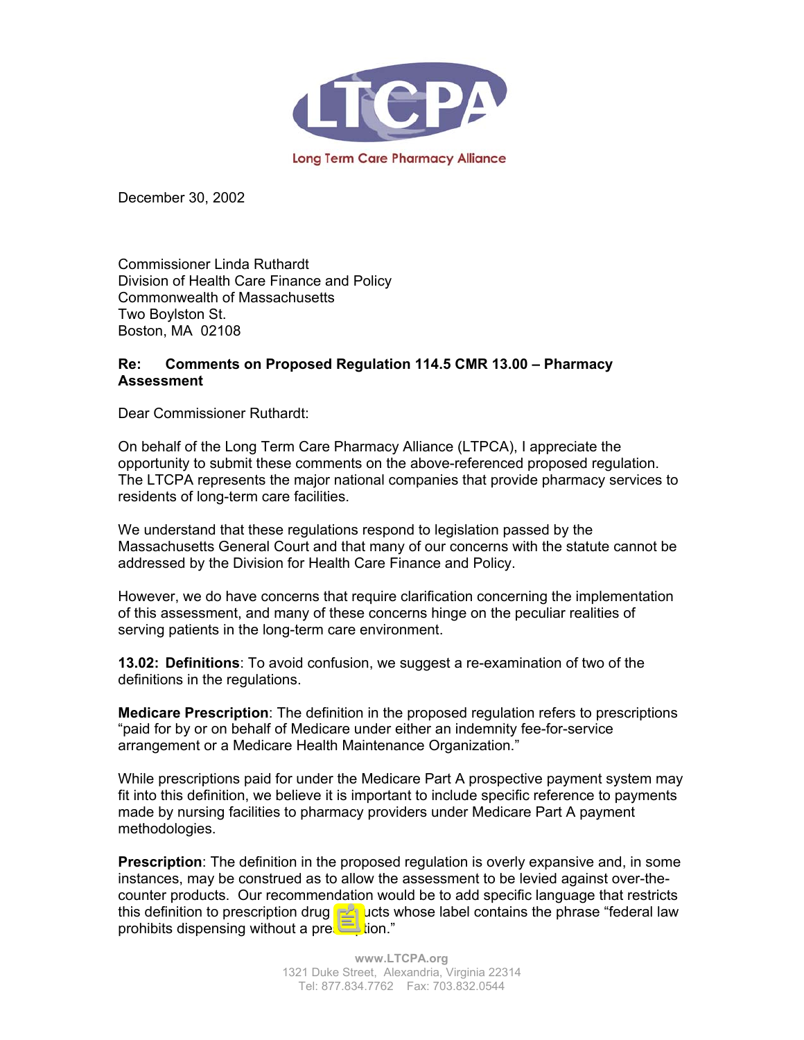

December 30, 2002

Commissioner Linda Ruthardt Division of Health Care Finance and Policy Commonwealth of Massachusetts Two Boylston St. Boston, MA 02108

## **Re: Comments on Proposed Regulation 114.5 CMR 13.00 – Pharmacy Assessment**

Dear Commissioner Ruthardt:

On behalf of the Long Term Care Pharmacy Alliance (LTPCA), I appreciate the opportunity to submit these comments on the above-referenced proposed regulation. The LTCPA represents the major national companies that provide pharmacy services to residents of long-term care facilities.

We understand that these regulations respond to legislation passed by the Massachusetts General Court and that many of our concerns with the statute cannot be addressed by the Division for Health Care Finance and Policy.

However, we do have concerns that require clarification concerning the implementation of this assessment, and many of these concerns hinge on the peculiar realities of serving patients in the long-term care environment.

**13.02: Definitions**: To avoid confusion, we suggest a re-examination of two of the definitions in the regulations.

**Medicare Prescription**: The definition in the proposed regulation refers to prescriptions "paid for by or on behalf of Medicare under either an indemnity fee-for-service arrangement or a Medicare Health Maintenance Organization."

While prescriptions paid for under the Medicare Part A prospective payment system may fit into this definition, we believe it is important to include specific reference to payments made by nursing facilities to pharmacy providers under Medicare Part A payment methodologies.

**Prescription**: The definition in the proposed regulation is overly expansive and, in some instances, may be construed as to allow the assessment to be levied against over-thecounter products. Our recommendation would be to add specific language that restricts this definition to prescription drug products whose label contains the phrase "federal law prohibits dispensing without a prescription."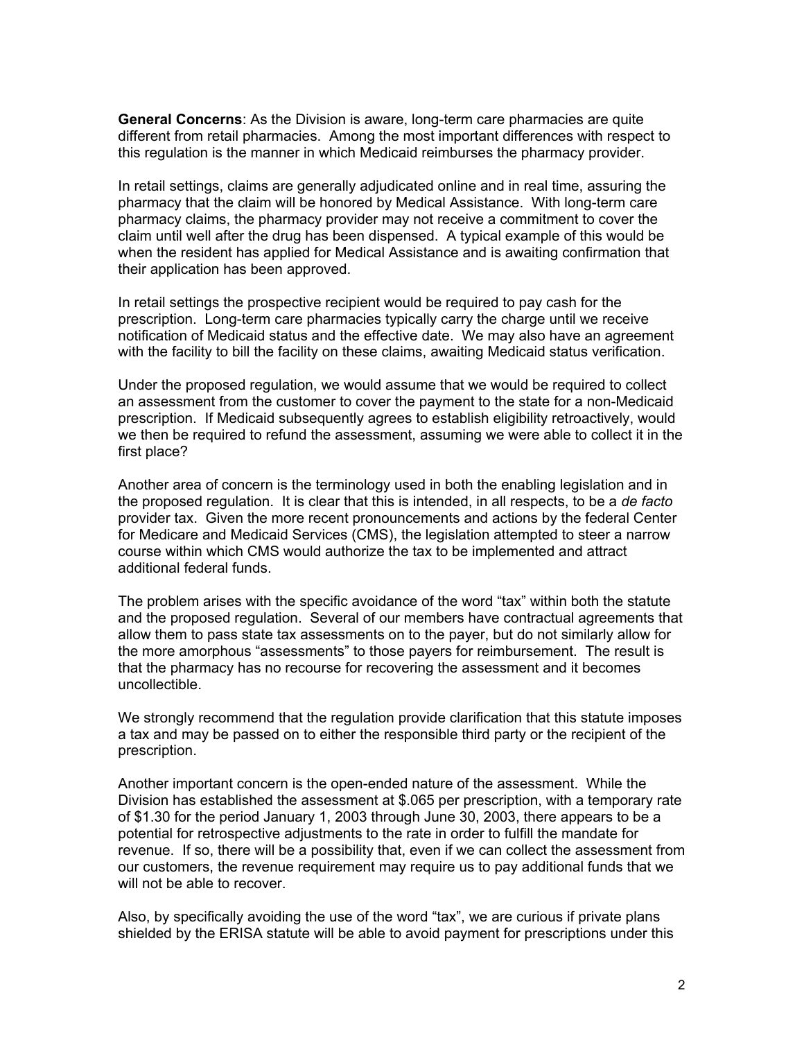**General Concerns**: As the Division is aware, long-term care pharmacies are quite different from retail pharmacies. Among the most important differences with respect to this regulation is the manner in which Medicaid reimburses the pharmacy provider.

In retail settings, claims are generally adjudicated online and in real time, assuring the pharmacy that the claim will be honored by Medical Assistance. With long-term care pharmacy claims, the pharmacy provider may not receive a commitment to cover the claim until well after the drug has been dispensed. A typical example of this would be when the resident has applied for Medical Assistance and is awaiting confirmation that their application has been approved.

In retail settings the prospective recipient would be required to pay cash for the prescription. Long-term care pharmacies typically carry the charge until we receive notification of Medicaid status and the effective date. We may also have an agreement with the facility to bill the facility on these claims, awaiting Medicaid status verification.

Under the proposed regulation, we would assume that we would be required to collect an assessment from the customer to cover the payment to the state for a non-Medicaid prescription. If Medicaid subsequently agrees to establish eligibility retroactively, would we then be required to refund the assessment, assuming we were able to collect it in the first place?

Another area of concern is the terminology used in both the enabling legislation and in the proposed regulation. It is clear that this is intended, in all respects, to be a *de facto* provider tax. Given the more recent pronouncements and actions by the federal Center for Medicare and Medicaid Services (CMS), the legislation attempted to steer a narrow course within which CMS would authorize the tax to be implemented and attract additional federal funds.

The problem arises with the specific avoidance of the word "tax" within both the statute and the proposed regulation. Several of our members have contractual agreements that allow them to pass state tax assessments on to the payer, but do not similarly allow for the more amorphous "assessments" to those payers for reimbursement. The result is that the pharmacy has no recourse for recovering the assessment and it becomes uncollectible.

We strongly recommend that the regulation provide clarification that this statute imposes a tax and may be passed on to either the responsible third party or the recipient of the prescription.

Another important concern is the open-ended nature of the assessment. While the Division has established the assessment at \$.065 per prescription, with a temporary rate of \$1.30 for the period January 1, 2003 through June 30, 2003, there appears to be a potential for retrospective adjustments to the rate in order to fulfill the mandate for revenue. If so, there will be a possibility that, even if we can collect the assessment from our customers, the revenue requirement may require us to pay additional funds that we will not be able to recover.

Also, by specifically avoiding the use of the word "tax", we are curious if private plans shielded by the ERISA statute will be able to avoid payment for prescriptions under this